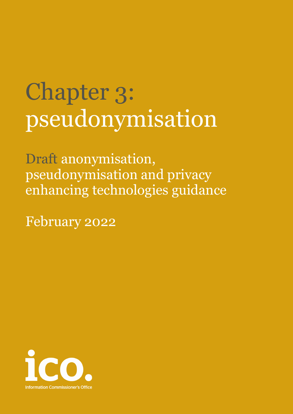# Chapter 3: pseudonymisation

Draft anonymisation, pseudonymisation and privacy enhancing technologies guidance

February 2022

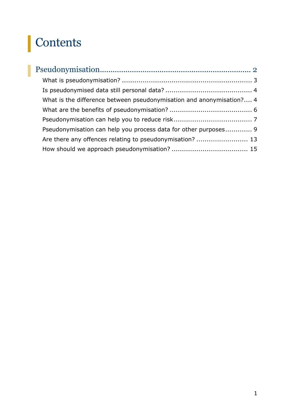# Contents

| What is the difference between pseudonymisation and anonymisation? 4 |  |
|----------------------------------------------------------------------|--|
|                                                                      |  |
|                                                                      |  |
| Pseudonymisation can help you process data for other purposes 9      |  |
| Are there any offences relating to pseudonymisation?  13             |  |
|                                                                      |  |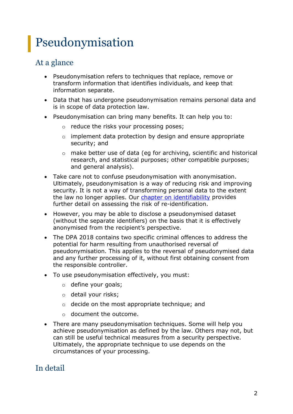# <span id="page-2-0"></span>Pseudonymisation

# At a glance

- Pseudonymisation refers to techniques that replace, remove or transform information that identifies individuals, and keep that information separate.
- Data that has undergone pseudonymisation remains personal data and is in scope of data protection law.
- Pseudonymisation can bring many benefits. It can help you to:
	- o reduce the risks your processing poses;
	- o implement data protection by design and ensure appropriate security; and
	- o make better use of data (eg for archiving, scientific and historical research, and statistical purposes; other compatible purposes; and general analysis).
- Take care not to confuse pseudonymisation with anonymisation. Ultimately, pseudonymisation is a way of reducing risk and improving security. It is not a way of transforming personal data to the extent the law no longer applies. Our [chapter on identifiability](https://ico.org.uk/media/about-the-ico/documents/4018606/chapter-2-anonymisation-draft.pdf) provides further detail on assessing the risk of re-identification.
- However, you may be able to disclose a pseudonymised dataset (without the separate identifiers) on the basis that it is effectively anonymised from the recipient's perspective.
- The DPA 2018 contains two specific criminal offences to address the potential for harm resulting from unauthorised reversal of pseudonymisation. This applies to the reversal of pseudonymised data and any further processing of it, without first obtaining consent from the responsible controller.
- To use pseudonymisation effectively, you must:
	- o define your goals;
	- o detail your risks;
	- o decide on the most appropriate technique; and
	- o document the outcome.
- There are many pseudonymisation techniques. Some will help you achieve pseudonymisation as defined by the law. Others may not, but can still be useful technical measures from a security perspective. Ultimately, the appropriate technique to use depends on the circumstances of your processing.

# In detail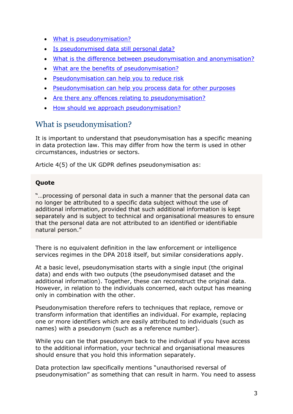- [What is pseudonymisation?](#page-3-0)
- [Is pseudonymised data still personal data?](#page-4-0)
- What is the difference between pseudonymisation and anonymisation?
- [What are the benefits of pseudonymisation?](#page-6-0)
- [Pseudonymisation can help you to reduce risk](#page-7-0)
- [Pseudonymisation can help you process data for other purposes](#page-9-0)
- [Are there any offences relating to pseudonymisation?](#page-13-0)
- [How should we approach pseudonymisation?](#page-15-0)

## <span id="page-3-0"></span>What is pseudonymisation?

It is important to understand that pseudonymisation has a specific meaning in data protection law. This may differ from how the term is used in other circumstances, industries or sectors.

Article 4(5) of the UK GDPR defines pseudonymisation as:

#### **Quote**

"…processing of personal data in such a manner that the personal data can no longer be attributed to a specific data subject without the use of additional information, provided that such additional information is kept separately and is subject to technical and organisational measures to ensure that the personal data are not attributed to an identified or identifiable natural person."

There is no equivalent definition in the law enforcement or intelligence services regimes in the DPA 2018 itself, but similar considerations apply.

At a basic level, pseudonymisation starts with a single input (the original data) and ends with two outputs (the pseudonymised dataset and the additional information). Together, these can reconstruct the original data. However, in relation to the individuals concerned, each output has meaning only in combination with the other.

Pseudonymisation therefore refers to techniques that replace, remove or transform information that identifies an individual. For example, replacing one or more identifiers which are easily attributed to individuals (such as names) with a pseudonym (such as a reference number).

While you can tie that pseudonym back to the individual if you have access to the additional information, your technical and organisational measures should ensure that you hold this information separately.

Data protection law specifically mentions "unauthorised reversal of pseudonymisation" as something that can result in harm. You need to assess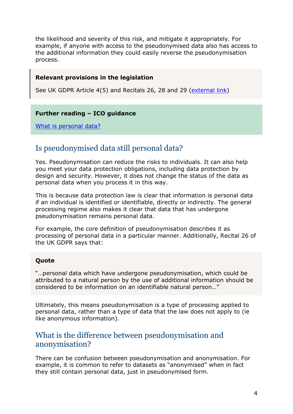the likelihood and severity of this risk, and mitigate it appropriately. For example, if anyone with access to the pseudonymised data also has access to the additional information they could easily reverse the pseudonymisation process.

#### **Relevant provisions in the legislation**

See UK GDPR Article 4(5) and Recitals 26, 28 and 29 [\(external link\)](https://www.legislation.gov.uk/eur/2016/679/introduction)

#### **Further reading – ICO guidance**

[What is personal data?](https://ico.org.uk/for-organisations/guide-to-data-protection/guide-to-the-general-data-protection-regulation-gdpr/key-definitions/what-is-personal-data/)

### <span id="page-4-0"></span>Is pseudonymised data still personal data?

Yes. Pseudonymisation can reduce the risks to individuals. It can also help you meet your data protection obligations, including data protection by design and security. However, it does not change the status of the data as personal data when you process it in this way.

This is because data protection law is clear that information is personal data if an individual is identified or identifiable, directly or indirectly. The general processing regime also makes it clear that data that has undergone pseudonymisation remains personal data.

For example, the core definition of pseudonymisation describes it as processing of personal data in a particular manner. Additionally, Recital 26 of the UK GDPR says that:

#### **Quote**

"…personal data which have undergone pseudonymisation, which could be attributed to a natural person by the use of additional information should be considered to be information on an identifiable natural person…"

Ultimately, this means pseudonymisation is a type of processing applied to personal data, rather than a type of data that the law does not apply to (ie like anonymous information).

### <span id="page-4-1"></span>What is the difference between pseudonymisation and anonymisation?

There can be confusion between pseudonymisation and anonymisation. For example, it is common to refer to datasets as "anonymised" when in fact they still contain personal data, just in pseudonymised form.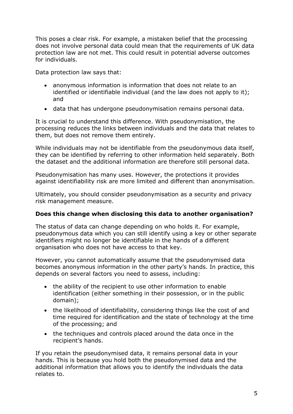This poses a clear risk. For example, a mistaken belief that the processing does not involve personal data could mean that the requirements of UK data protection law are not met. This could result in potential adverse outcomes for individuals.

Data protection law says that:

- anonymous information is information that does not relate to an identified or identifiable individual (and the law does not apply to it); and
- data that has undergone pseudonymisation remains personal data.

It is crucial to understand this difference. With pseudonymisation, the processing reduces the links between individuals and the data that relates to them, but does not remove them entirely.

While individuals may not be identifiable from the pseudonymous data itself, they can be identified by referring to other information held separately. Both the dataset and the additional information are therefore still personal data.

Pseudonymisation has many uses. However, the protections it provides against identifiability risk are more limited and different than anonymisation.

Ultimately, you should consider pseudonymisation as a security and privacy risk management measure.

#### **Does this change when disclosing this data to another organisation?**

The status of data can change depending on who holds it. For example, pseudonymous data which you can still identify using a key or other separate identifiers might no longer be identifiable in the hands of a different organisation who does not have access to that key.

However, you cannot automatically assume that the pseudonymised data becomes anonymous information in the other party's hands. In practice, this depends on several factors you need to assess, including:

- the ability of the recipient to use other information to enable identification (either something in their possession, or in the public domain);
- the likelihood of identifiability, considering things like the cost of and time required for identification and the state of technology at the time of the processing; and
- the techniques and controls placed around the data once in the recipient's hands.

If you retain the pseudonymised data, it remains personal data in your hands. This is because you hold both the pseudonymised data and the additional information that allows you to identify the individuals the data relates to.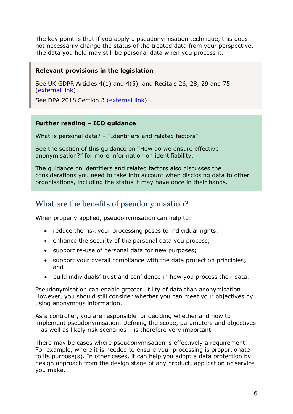The key point is that if you apply a pseudonymisation technique, this does not necessarily change the status of the treated data from your perspective. The data you hold may still be personal data when you process it.

#### **Relevant provisions in the legislation**

See UK GDPR Articles 4(1) and 4(5), and Recitals 26, 28, 29 and 75 [\(external link\)](https://www.legislation.gov.uk/eur/2016/679/introduction)

See DPA 2018 Section 3 [\(external link\)](https://www.legislation.gov.uk/ukpga/2018/12/section/3)

#### **Further reading – ICO guidance**

What is personal data? – ["Identifiers and related factors"](https://ico.org.uk/for-organisations/guide-to-data-protection/guide-to-the-general-data-protection-regulation-gdpr/what-is-personal-data/what-are-identifiers-and-related-factors/)

See the section of this guidance on "How do we ensure effective anonymisation?" for more information on identifiability.

The guidance on identifiers and related factors also discusses the considerations you need to take into account when disclosing data to other organisations, including the status it may have once in their hands.

# <span id="page-6-0"></span>What are the benefits of pseudonymisation?

When properly applied, pseudonymisation can help to:

- reduce the risk your processing poses to individual rights;
- enhance the security of the personal data you process;
- support re-use of personal data for new purposes;
- support your overall compliance with the data protection principles; and
- build individuals' trust and confidence in how you process their data.

Pseudonymisation can enable greater utility of data than anonymisation. However, you should still consider whether you can meet your objectives by using anonymous information.

As a controller, you are responsible for deciding whether and how to implement pseudonymisation. Defining the scope, parameters and objectives – as well as likely risk scenarios – is therefore very important.

There may be cases where pseudonymisation is effectively a requirement. For example, where it is needed to ensure your processing is proportionate to its purpose(s). In other cases, it can help you adopt a data protection by design approach from the design stage of any product, application or service you make.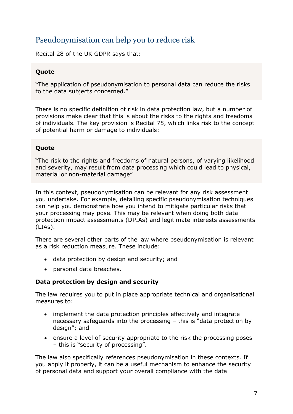# <span id="page-7-0"></span>Pseudonymisation can help you to reduce risk

Recital 28 of the UK GDPR says that:

#### **Quote**

"The application of pseudonymisation to personal data can reduce the risks to the data subjects concerned."

There is no specific definition of risk in data protection law, but a number of provisions make clear that this is about the risks to the rights and freedoms of individuals. The key provision is Recital 75, which links risk to the concept of potential harm or damage to individuals:

#### **Quote**

"The risk to the rights and freedoms of natural persons, of varying likelihood and severity, may result from data processing which could lead to physical, material or non-material damage"

In this context, pseudonymisation can be relevant for any risk assessment you undertake. For example, detailing specific pseudonymisation techniques can help you demonstrate how you intend to mitigate particular risks that your processing may pose. This may be relevant when doing both data protection impact assessments (DPIAs) and legitimate interests assessments (LIAs).

There are several other parts of the law where pseudonymisation is relevant as a risk reduction measure. These include:

- data protection by design and security; and
- personal data breaches.

#### **Data protection by design and security**

The law requires you to put in place appropriate technical and organisational measures to:

- implement the data protection principles effectively and integrate necessary safeguards into the processing – this is "data protection by design"; and
- ensure a level of security appropriate to the risk the processing poses – this is "security of processing".

The law also specifically references pseudonymisation in these contexts. If you apply it properly, it can be a useful mechanism to enhance the security of personal data and support your overall compliance with the data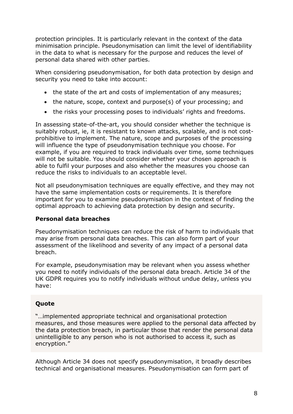protection principles. It is particularly relevant in the context of the data minimisation principle. Pseudonymisation can limit the level of identifiability in the data to what is necessary for the purpose and reduces the level of personal data shared with other parties.

When considering pseudonymisation, for both data protection by design and security you need to take into account:

- the state of the art and costs of implementation of any measures;
- the nature, scope, context and purpose(s) of your processing; and
- the risks your processing poses to individuals' rights and freedoms.

In assessing state-of-the-art, you should consider whether the technique is suitably robust, ie, it is resistant to known attacks, scalable, and is not costprohibitive to implement. The nature, scope and purposes of the processing will influence the type of pseudonymisation technique you choose. For example, if you are required to track individuals over time, some techniques will not be suitable. You should consider whether your chosen approach is able to fulfil your purposes and also whether the measures you choose can reduce the risks to individuals to an acceptable level.

Not all pseudonymisation techniques are equally effective, and they may not have the same implementation costs or requirements. It is therefore important for you to examine pseudonymisation in the context of finding the optimal approach to achieving data protection by design and security.

#### **Personal data breaches**

Pseudonymisation techniques can reduce the risk of harm to individuals that may arise from personal data breaches. This can also form part of your assessment of the likelihood and severity of any impact of a personal data breach.

For example, pseudonymisation may be relevant when you assess whether you need to notify individuals of the personal data breach. Article 34 of the UK GDPR requires you to notify individuals without undue delay, unless you have:

#### **Quote**

"…implemented appropriate technical and organisational protection measures, and those measures were applied to the personal data affected by the data protection breach, in particular those that render the personal data unintelligible to any person who is not authorised to access it, such as encryption."

Although Article 34 does not specify pseudonymisation, it broadly describes technical and organisational measures. Pseudonymisation can form part of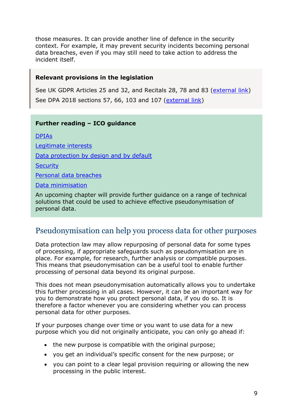those measures. It can provide another line of defence in the security context. For example, it may prevent security incidents becoming personal data breaches, even if you may still need to take action to address the incident itself.

#### **Relevant provisions in the legislation**

See UK GDPR Articles 25 and 32, and Recitals 28, 78 and 83 [\(external link\)](https://www.legislation.gov.uk/eur/2016/679/introduction) See DPA 2018 sections 57, 66, 103 and 107 [\(external link\)](https://www.legislation.gov.uk/ukpga/2018/12/contents)

#### **Further reading – ICO guidance**

[DPIAs](https://ico.org.uk/for-organisations/guide-to-data-protection/guide-to-the-general-data-protection-regulation-gdpr/accountability-and-governance/data-protection-impact-assessments/) [Legitimate interests](https://ico.org.uk/for-organisations/guide-to-data-protection/guide-to-the-general-data-protection-regulation-gdpr/lawful-basis-for-processing/legitimate-interests/) Data [protection by design and by default](https://ico.org.uk/for-organisations/guide-to-data-protection/guide-to-the-general-data-protection-regulation-gdpr/accountability-and-governance/data-protection-by-design-and-default/) **[Security](https://ico.org.uk/for-organisations/guide-to-data-protection/guide-to-the-general-data-protection-regulation-gdpr/security/passwords-in-online-services/)** [Personal data breaches](https://ico.org.uk/for-organisations/guide-to-data-protection/guide-to-the-general-data-protection-regulation-gdpr/personal-data-breaches/) [Data minimisation](https://ico.org.uk/for-organisations/guide-to-data-protection/guide-to-the-general-data-protection-regulation-gdpr/principles/data-minimisation/) An upcoming chapter will provide further guidance on a range of technical

solutions that could be used to achieve effective pseudonymisation of personal data.

# <span id="page-9-0"></span>Pseudonymisation can help you process data for other purposes

Data protection law may allow repurposing of personal data for some types of processing, if appropriate safeguards such as pseudonymisation are in place. For example, for research, further analysis or compatible purposes. This means that pseudonymisation can be a useful tool to enable further processing of personal data beyond its original purpose.

This does not mean pseudonymisation automatically allows you to undertake this further processing in all cases. However, it can be an important way for you to demonstrate how you protect personal data, if you do so. It is therefore a factor whenever you are considering whether you can process personal data for other purposes.

If your purposes change over time or you want to use data for a new purpose which you did not originally anticipate, you can only go ahead if:

- the new purpose is compatible with the original purpose;
- you get an individual's specific consent for the new purpose; or
- you can point to a clear legal provision requiring or allowing the new processing in the public interest.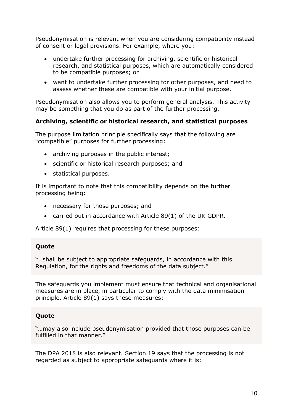Pseudonymisation is relevant when you are considering compatibility instead of consent or legal provisions. For example, where you:

- undertake further processing for archiving, scientific or historical research, and statistical purposes, which are automatically considered to be compatible purposes; or
- want to undertake further processing for other purposes, and need to assess whether these are compatible with your initial purpose.

Pseudonymisation also allows you to perform general analysis. This activity may be something that you do as part of the further processing.

#### **Archiving, scientific or historical research, and statistical purposes**

The purpose limitation principle specifically says that the following are "compatible" purposes for further processing:

- archiving purposes in the public interest;
- scientific or historical research purposes; and
- statistical purposes.

It is important to note that this compatibility depends on the further processing being:

- necessary for those purposes; and
- carried out in accordance with Article 89(1) of the UK GDPR.

Article 89(1) requires that processing for these purposes:

#### **Quote**

"…shall be subject to appropriate safeguards, in accordance with this Regulation, for the rights and freedoms of the data subject."

The safeguards you implement must ensure that technical and organisational measures are in place, in particular to comply with the data minimisation principle. Article 89(1) says these measures:

#### **Quote**

"…may also include pseudonymisation provided that those purposes can be fulfilled in that manner."

The DPA 2018 is also relevant. Section 19 says that the processing is not regarded as subject to appropriate safeguards where it is: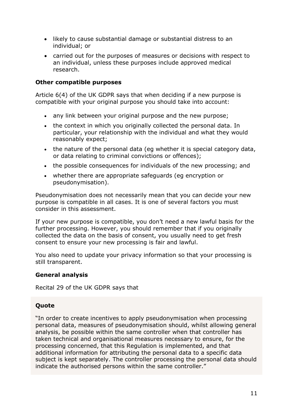- likely to cause substantial damage or substantial distress to an individual; or
- carried out for the purposes of measures or decisions with respect to an individual, unless these purposes include approved medical research.

#### **Other compatible purposes**

Article 6(4) of the UK GDPR says that when deciding if a new purpose is compatible with your original purpose you should take into account:

- any link between your original purpose and the new purpose;
- the context in which you originally collected the personal data. In particular, your relationship with the individual and what they would reasonably expect;
- the nature of the personal data (eg whether it is special category data, or data relating to criminal convictions or offences);
- the possible consequences for individuals of the new processing; and
- whether there are appropriate safeguards (eg encryption or pseudonymisation).

Pseudonymisation does not necessarily mean that you can decide your new purpose is compatible in all cases. It is one of several factors you must consider in this assessment.

If your new purpose is compatible, you don't need a new lawful basis for the further processing. However, you should remember that if you originally collected the data on the basis of consent, you usually need to get fresh consent to ensure your new processing is fair and lawful.

You also need to update your privacy information so that your processing is still transparent.

#### **General analysis**

Recital 29 of the UK GDPR says that

#### **Quote**

"In order to create incentives to apply pseudonymisation when processing personal data, measures of pseudonymisation should, whilst allowing general analysis, be possible within the same controller when that controller has taken technical and organisational measures necessary to ensure, for the processing concerned, that this Regulation is implemented, and that additional information for attributing the personal data to a specific data subject is kept separately. The controller processing the personal data should indicate the authorised persons within the same controller."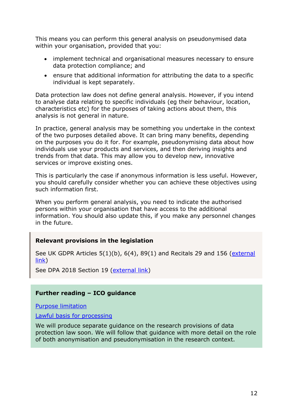This means you can perform this general analysis on pseudonymised data within your organisation, provided that you:

- implement technical and organisational measures necessary to ensure data protection compliance; and
- ensure that additional information for attributing the data to a specific individual is kept separately.

Data protection law does not define general analysis. However, if you intend to analyse data relating to specific individuals (eg their behaviour, location, characteristics etc) for the purposes of taking actions about them, this analysis is not general in nature.

In practice, general analysis may be something you undertake in the context of the two purposes detailed above. It can bring many benefits, depending on the purposes you do it for. For example, pseudonymising data about how individuals use your products and services, and then deriving insights and trends from that data. This may allow you to develop new, innovative services or improve existing ones.

This is particularly the case if anonymous information is less useful. However, you should carefully consider whether you can achieve these objectives using such information first.

When you perform general analysis, you need to indicate the authorised persons within your organisation that have access to the additional information. You should also update this, if you make any personnel changes in the future.

#### **Relevant provisions in the legislation**

See UK GDPR Articles  $5(1)(b)$ ,  $6(4)$ ,  $89(1)$  and Recitals 29 and 156 (external [link\)](https://www.legislation.gov.uk/eur/2016/679/introduction)

See DPA 2018 Section 19 [\(external link\)](https://www.legislation.gov.uk/ukpga/2018/12/section/19)

#### **Further reading – ICO guidance**

[Purpose limitation](https://ico.org.uk/for-organisations/guide-to-data-protection/guide-to-the-general-data-protection-regulation-gdpr/principles/purpose-limitation/)

[Lawful basis for processing](https://ico.org.uk/for-organisations/guide-to-the-general-data-protection-regulation-gdpr/lawful-basis-for-processing/)

We will produce separate guidance on the research provisions of data protection law soon. We will follow that guidance with more detail on the role of both anonymisation and pseudonymisation in the research context.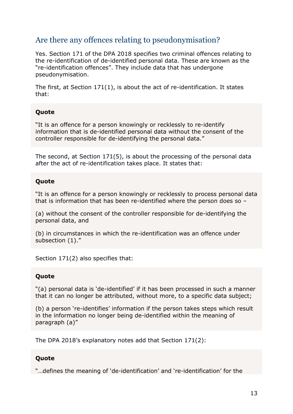# <span id="page-13-0"></span>Are there any offences relating to pseudonymisation?

Yes. Section 171 of the DPA 2018 specifies two criminal offences relating to the re-identification of de-identified personal data. These are known as the "re-identification offences". They include data that has undergone pseudonymisation.

The first, at Section 171(1), is about the act of re-identification. It states that:

#### **Quote**

"It is an offence for a person knowingly or recklessly to re-identify information that is de-identified personal data without the consent of the controller responsible for de-identifying the personal data."

The second, at Section 171(5), is about the processing of the personal data after the act of re-identification takes place. It states that:

#### **Quote**

"It is an offence for a person knowingly or recklessly to process personal data that is information that has been re-identified where the person does so –

(a) without the consent of the controller responsible for de-identifying the personal data, and

(b) in circumstances in which the re-identification was an offence under subsection (1)."

Section 171(2) also specifies that:

#### **Quote**

"(a) personal data is 'de-identified' if it has been processed in such a manner that it can no longer be attributed, without more, to a specific data subject;

(b) a person 're-identifies' information if the person takes steps which result in the information no longer being de-identified within the meaning of paragraph (a)"

The DPA 2018's explanatory notes add that Section 171(2):

#### **Quote**

"…defines the meaning of 'de-identification' and 're-identification' for the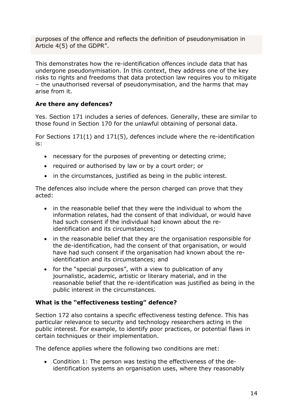purposes of the offence and reflects the definition of pseudonymisation in Article 4(5) of the GDPR".

This demonstrates how the re-identification offences include data that has undergone pseudonymisation. In this context, they address one of the key risks to rights and freedoms that data protection law requires you to mitigate – the unauthorised reversal of pseudonymisation, and the harms that may arise from it.

#### **Are there any defences?**

Yes. Section 171 includes a series of defences. Generally, these are similar to those found in Section 170 for the unlawful obtaining of personal data.

For Sections 171(1) and 171(5), defences include where the re-identification is:

- necessary for the purposes of preventing or detecting crime;
- required or authorised by law or by a court order; or
- in the circumstances, justified as being in the public interest.

The defences also include where the person charged can prove that they acted:

- in the reasonable belief that they were the individual to whom the information relates, had the consent of that individual, or would have had such consent if the individual had known about the reidentification and its circumstances;
- in the reasonable belief that they are the organisation responsible for the de-identification, had the consent of that organisation, or would have had such consent if the organisation had known about the reidentification and its circumstances; and
- for the "special purposes", with a view to publication of any journalistic, academic, artistic or literary material, and in the reasonable belief that the re-identification was justified as being in the public interest in the circumstances.

#### **What is the "effectiveness testing" defence?**

Section 172 also contains a specific effectiveness testing defence. This has particular relevance to security and technology researchers acting in the public interest. For example, to identify poor practices, or potential flaws in certain techniques or their implementation.

The defence applies where the following two conditions are met:

• Condition 1: The person was testing the effectiveness of the deidentification systems an organisation uses, where they reasonably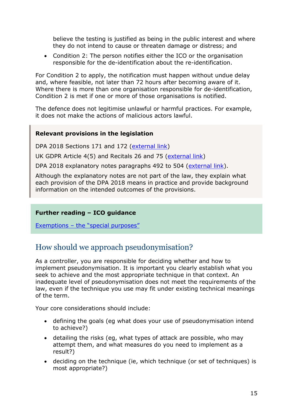believe the testing is justified as being in the public interest and where they do not intend to cause or threaten damage or distress; and

• Condition 2: The person notifies either the ICO or the organisation responsible for the de-identification about the re-identification.

For Condition 2 to apply, the notification must happen without undue delay and, where feasible, not later than 72 hours after becoming aware of it. Where there is more than one organisation responsible for de-identification, Condition 2 is met if one or more of those organisations is notified.

The defence does not legitimise unlawful or harmful practices. For example, it does not make the actions of malicious actors lawful.

#### **Relevant provisions in the legislation**

DPA 2018 Sections 171 and 172 [\(external link\)](https://www.legislation.gov.uk/ukpga/2018/12/contents)

UK GDPR Article 4(5) and Recitals 26 and 75 [\(external link\)](https://www.legislation.gov.uk/eur/2016/679/introduction)

DPA 2018 explanatory notes paragraphs 492 to 504 [\(external link\)](https://www.legislation.gov.uk/ukpga/2018/12/notes/division/1/index.htm).

Although the explanatory notes are not part of the law, they explain what each provision of the DPA 2018 means in practice and provide background information on the intended outcomes of the provisions.

#### **Further reading – ICO guidance**

Exemptions – [the "special purposes"](https://ico.org.uk/for-organisations/guide-to-data-protection/guide-to-the-general-data-protection-regulation-gdpr/exemptions/#ex16)

# <span id="page-15-0"></span>How should we approach pseudonymisation?

As a controller, you are responsible for deciding whether and how to implement pseudonymisation. It is important you clearly establish what you seek to achieve and the most appropriate technique in that context. An inadequate level of pseudonymisation does not meet the requirements of the law, even if the technique you use may fit under existing technical meanings of the term.

Your core considerations should include:

- defining the goals (eg what does your use of pseudonymisation intend to achieve?)
- detailing the risks (eg, what types of attack are possible, who may attempt them, and what measures do you need to implement as a result?)
- deciding on the technique (ie, which technique (or set of techniques) is most appropriate?)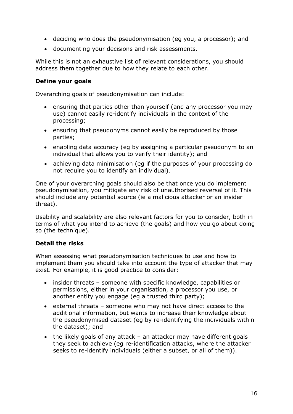- deciding who does the pseudonymisation (eg you, a processor); and
- documenting your decisions and risk assessments.

While this is not an exhaustive list of relevant considerations, you should address them together due to how they relate to each other.

#### **Define your goals**

Overarching goals of pseudonymisation can include:

- ensuring that parties other than yourself (and any processor you may use) cannot easily re-identify individuals in the context of the processing;
- ensuring that pseudonyms cannot easily be reproduced by those parties;
- enabling data accuracy (eg by assigning a particular pseudonym to an individual that allows you to verify their identity); and
- achieving data minimisation (eg if the purposes of your processing do not require you to identify an individual).

One of your overarching goals should also be that once you do implement pseudonymisation, you mitigate any risk of unauthorised reversal of it. This should include any potential source (ie a malicious attacker or an insider threat).

Usability and scalability are also relevant factors for you to consider, both in terms of what you intend to achieve (the goals) and how you go about doing so (the technique).

#### **Detail the risks**

When assessing what pseudonymisation techniques to use and how to implement them you should take into account the type of attacker that may exist. For example, it is good practice to consider:

- insider threats someone with specific knowledge, capabilities or permissions, either in your organisation, a processor you use, or another entity you engage (eg a trusted third party);
- external threats someone who may not have direct access to the additional information, but wants to increase their knowledge about the pseudonymised dataset (eg by re-identifying the individuals within the dataset); and
- the likely goals of any attack an attacker may have different goals they seek to achieve (eg re-identification attacks, where the attacker seeks to re-identify individuals (either a subset, or all of them)).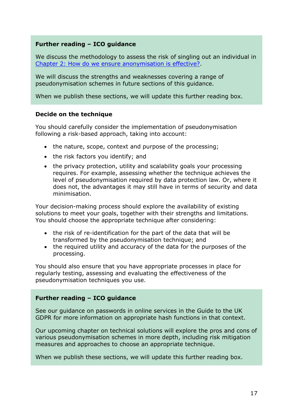#### **Further reading – ICO guidance**

We discuss the methodology to assess the risk of singling out an individual in [Chapter 2: How do we ensure anonymisation is effective?.](https://ico.org.uk/media/about-the-ico/documents/4018606/chapter-2-anonymisation-draft.pdf)

We will discuss the strengths and weaknesses covering a range of pseudonymisation schemes in future sections of this guidance.

When we publish these sections, we will update this further reading box.

#### **Decide on the technique**

You should carefully consider the implementation of pseudonymisation following a risk-based approach, taking into account:

- the nature, scope, context and purpose of the processing;
- the risk factors you identify; and
- the privacy protection, utility and scalability goals your processing requires. For example, assessing whether the technique achieves the level of pseudonymisation required by data protection law. Or, where it does not, the advantages it may still have in terms of security and data minimisation.

Your decision-making process should explore the availability of existing solutions to meet your goals, together with their strengths and limitations. You should choose the appropriate technique after considering:

- the risk of re-identification for the part of the data that will be transformed by the pseudonymisation technique; and
- the required utility and accuracy of the data for the purposes of the processing.

You should also ensure that you have appropriate processes in place for regularly testing, assessing and evaluating the effectiveness of the pseudonymisation techniques you use.

#### **Further reading – ICO guidance**

See our guidance on [passwords in online services](https://ico.org.uk/for-organisations/guide-to-data-protection/guide-to-the-general-data-protection-regulation-gdpr/security/passwords-in-online-services/) in the Guide to the UK GDPR for more information on appropriate hash functions in that context.

Our upcoming chapter on technical solutions will explore the pros and cons of various pseudonymisation schemes in more depth, including risk mitigation measures and approaches to choose an appropriate technique.

When we publish these sections, we will update this further reading box.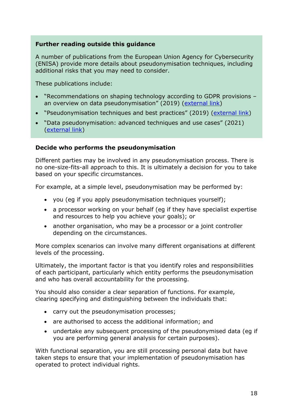#### **Further reading outside this guidance**

A number of publications from the European Union Agency for Cybersecurity (ENISA) provide more details about pseudonymisation techniques, including additional risks that you may need to consider.

These publications include:

- "Recommendations on shaping technology according to GDPR provisions an overview on data pseudonymisation" (2019) [\(external link\)](https://www.enisa.europa.eu/publications/recommendations-on-shaping-technology-according-to-gdpr-provisions)
- "Pseudonymisation techniques and best practices" (2019) [\(external link\)](https://www.enisa.europa.eu/publications/pseudonymisation-techniques-and-best-practices)
- "Data pseudonymisation: advanced techniques and use cases" (2021) [\(external link\)](https://www.enisa.europa.eu/publications/data-pseudonymisation-advanced-techniques-and-use-cases)

#### **Decide who performs the pseudonymisation**

Different parties may be involved in any pseudonymisation process. There is no one-size-fits-all approach to this. It is ultimately a decision for you to take based on your specific circumstances.

For example, at a simple level, pseudonymisation may be performed by:

- you (eg if you apply pseudonymisation techniques yourself);
- a processor working on your behalf (eg if they have specialist expertise and resources to help you achieve your goals); or
- another organisation, who may be a processor or a joint controller depending on the circumstances.

More complex scenarios can involve many different organisations at different levels of the processing.

Ultimately, the important factor is that you identify roles and responsibilities of each participant, particularly which entity performs the pseudonymisation and who has overall accountability for the processing.

You should also consider a clear separation of functions. For example, clearing specifying and distinguishing between the individuals that:

- carry out the pseudonymisation processes;
- are authorised to access the additional information; and
- undertake any subsequent processing of the pseudonymised data (eg if you are performing general analysis for certain purposes).

With functional separation, you are still processing personal data but have taken steps to ensure that your implementation of pseudonymisation has operated to protect individual rights.